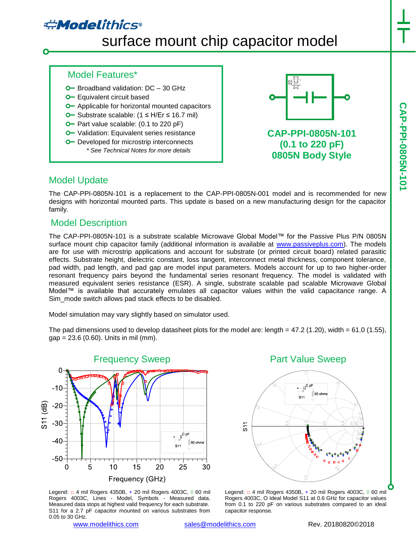# **#Modelithics**

# surface mount chip capacitor model

#### Model Features\*

- $O$  Broadband validation:  $DC 30$  GHz
- **O** Equivalent circuit based
- **O** Applicable for horizontal mounted capacitors
- Substrate scalable: (1 ≤ H/Er ≤ 16.7 mil)
- **O** Part value scalable: (0.1 to 220 pF)
- **O** Validation: Equivalent series resistance
- **O** Developed for microstrip interconnects *\* See Technical Notes for more details*



**CAP-PPI-0805N-101 (0.1 to 220 pF) 0805N Body Style**

## Model Update

The CAP-PPI-0805N-101 is a replacement to the CAP-PPI-0805N-001 model and is recommended for new designs with horizontal mounted parts. This update is based on a new manufacturing design for the capacitor family.

# Model Description

The CAP-PPI-0805N-101 is a substrate scalable Microwave Global Model™ for the Passive Plus P/N 0805N surface mount chip capacitor family (additional information is available at [www.passiveplus.com\)](http://www.passiveplus.com/). The models are for use with microstrip applications and account for substrate (or printed circuit board) related parasitic effects. Substrate height, dielectric constant, loss tangent, interconnect metal thickness, component tolerance, pad width, pad length, and pad gap are model input parameters. Models account for up to two higher-order resonant frequency pairs beyond the fundamental series resonant frequency. The model is validated with measured equivalent series resistance (ESR). A single, substrate scalable pad scalable Microwave Global Model™ is available that accurately emulates all capacitor values within the valid capacitance range. A Sim\_mode switch allows pad stack effects to be disabled.

Model simulation may vary slightly based on simulator used.

The pad dimensions used to develop datasheet plots for the model are: length =  $47.2$  (1.20), width =  $61.0$  (1.55),  $gap = 23.6 (0.60)$ . Units in mil (mm).



Legend: □ 4 mil Rogers 4350B, + 20 mil Rogers 4003C, ◊ 60 mil Rogers 4003C, Lines - Model, Symbols - Measured data. Measured data stops at highest valid frequency for each substrate. S11 for a 2.7 pF capacitor mounted on various substrates from 0.05 to 30 GHz.

Part Value Sweep



Legend: □ 4 mil Rogers 4350B, + 20 mil Rogers 4003C, ◊ 60 mil Rogers 4003C, O Ideal Model S11 at 0.6 GHz for capacitor values from 0.1 to 220 pF on various substrates compared to an ideal capacitor response.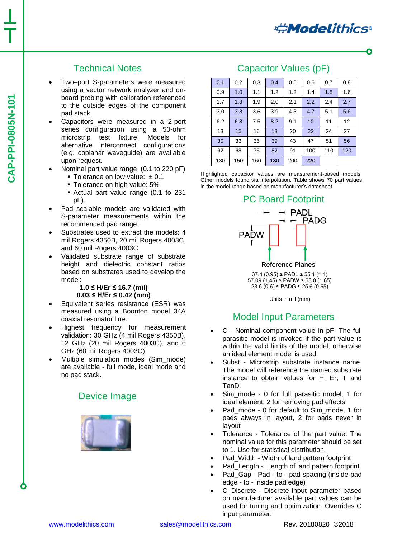# Technical Notes

- Two–port S-parameters were measured using a vector network analyzer and onboard probing with calibration referenced to the outside edges of the component pad stack.
- Capacitors were measured in a 2-port series configuration using a 50-ohm microstrip test fixture. Models for alternative interconnect configurations (e.g. coplanar waveguide) are available upon request.
- Nominal part value range (0.1 to 220 pF)
	- Tolerance on low value:  $± 0.1$
	- Tolerance on high value: 5%
	- Actual part value range (0.1 to 231 pF).
- Pad scalable models are validated with S-parameter measurements within the recommended pad range.
- Substrates used to extract the models: 4 mil Rogers 4350B, 20 mil Rogers 4003C, and 60 mil Rogers 4003C.
- Validated substrate range of substrate height and dielectric constant ratios based on substrates used to develop the model:

#### **1.0 ≤ H/Er ≤ 16.7 (mil) 0.03 ≤ H/Er ≤ 0.42 (mm)**

- Equivalent series resistance (ESR) was measured using a Boonton model 34A coaxial resonator line.
- Highest frequency for measurement validation: 30 GHz (4 mil Rogers 4350B), 12 GHz (20 mil Rogers 4003C), and 6 GHz (60 mil Rogers 4003C)
- Multiple simulation modes (Sim\_mode) are available - full mode, ideal mode and no pad stack.

### Device Image



## Capacitor Values (pF)

| 0.1 | 0.2 | 0.3 | 0.4 | 0.5 | 0.6 | 0.7 | 0.8 |
|-----|-----|-----|-----|-----|-----|-----|-----|
| 0.9 | 1.0 | 1.1 | 1.2 | 1.3 | 1.4 | 1.5 | 1.6 |
| 1.7 | 1.8 | 1.9 | 2.0 | 2.1 | 2.2 | 2.4 | 2.7 |
| 3.0 | 3.3 | 3.6 | 3.9 | 4.3 | 4.7 | 5.1 | 5.6 |
| 6.2 | 6.8 | 7.5 | 8.2 | 9.1 | 10  | 11  | 12  |
| 13  | 15  | 16  | 18  | 20  | 22  | 24  | 27  |
| 30  | 33  | 36  | 39  | 43  | 47  | 51  | 56  |
| 62  | 68  | 75  | 82  | 91  | 100 | 110 | 120 |
| 130 | 150 | 160 | 180 | 200 | 220 |     |     |

Highlighted capacitor values are measurement-based models. Other models found via interpolation. Table shows 70 part values in the model range based on manufacturer's datasheet.



 37.4 (0.95) ≤ PADL ≤ 55.1 (1.4) 57.09  $(1.45)$  ≤ PADW ≤ 65.0  $(1.65)$ 23.6 (0.6) ≤ PADG ≤ 25.6 (0.65)

Units in mil (mm)

# Model Input Parameters

- C Nominal component value in pF. The full parasitic model is invoked if the part value is within the valid limits of the model, otherwise an ideal element model is used.
- Subst Microstrip substrate instance name. The model will reference the named substrate instance to obtain values for H, Er, T and TanD.
- Sim\_mode 0 for full parasitic model, 1 for ideal element, 2 for removing pad effects.
- Pad\_mode 0 for default to Sim\_mode, 1 for pads always in layout, 2 for pads never in layout
- Tolerance Tolerance of the part value. The nominal value for this parameter should be set to 1. Use for statistical distribution.
- Pad\_Width Width of land pattern footprint
- Pad\_Length Length of land pattern footprint
- Pad\_Gap Pad to pad spacing (inside pad edge - to - inside pad edge)
- C\_Discrete Discrete input parameter based on manufacturer available part values can be used for tuning and optimization. Overrides C input parameter.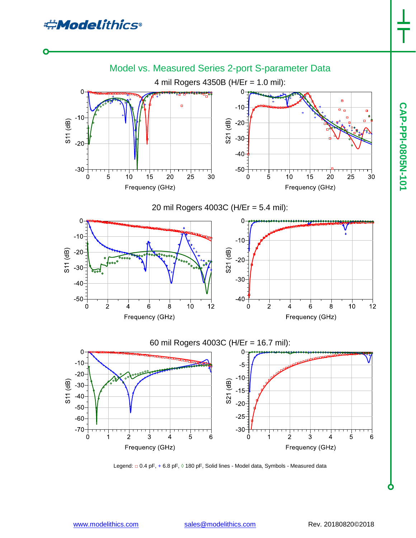**CAP-PPI-0805N-101**

CAP-PPI-0805N-101



Legend: □ 0.4 pF, + 6.8 pF, 0 180 pF, Solid lines - Model data, Symbols - Measured data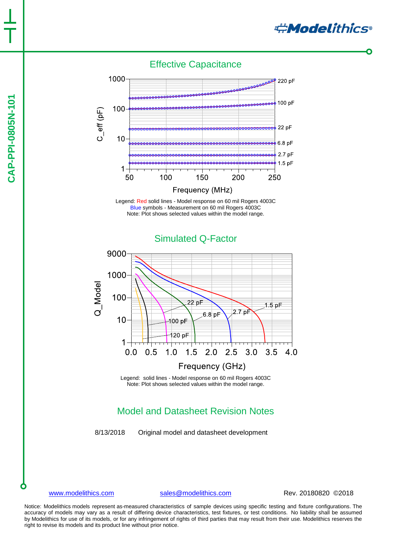# CAP-PPI-0805N-101 **CAP-PPI-0805N-101**

Effective Capacitance



Legend: Red solid lines - Model response on 60 mil Rogers 4003C Blue symbols - Measurement on 60 mil Rogers 4003C Note: Plot shows selected values within the model range.



Legend: solid lines - Model response on 60 mil Rogers 4003C Note: Plot shows selected values within the model range.

# Model and Datasheet Revision Notes

8/13/2018 Original model and datasheet development

[www.modelithics.com](http://www.modelithics.com/) [sales@modelithics.com](mailto:sales@modelithics.com) Rev. 20180820 ©2018

**Andelithics®** 

Notice: Modelithics models represent as-measured characteristics of sample devices using specific testing and fixture configurations. The accuracy of models may vary as a result of differing device characteristics, test fixtures, or test conditions. No liability shall be assumed by Modelithics for use of its models, or for any infringement of rights of third parties that may result from their use. Modelithics reserves the right to revise its models and its product line without prior notice.